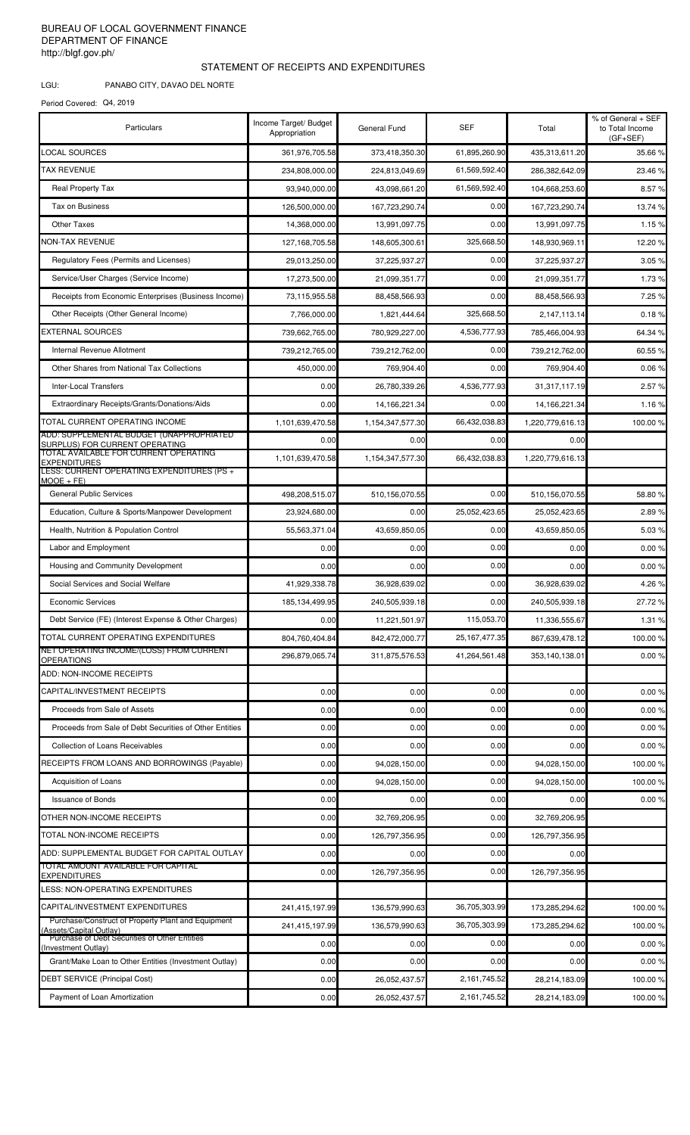## BUREAU OF LOCAL GOVERNMENT FINANCE DEPARTMENT OF FINANCE http://blgf.gov.ph/

## STATEMENT OF RECEIPTS AND EXPENDITURES

LGU: PANABO CITY, DAVAO DEL NORTE

Period Covered: Q4, 2019

| LOCAL SOURCES<br>61,895,260.90<br>35.66%<br>361.976.705.58<br>373,418,350.30<br>435.313.611.20<br><b>TAX REVENUE</b><br>61,569,592.40<br>234,808,000.00<br>286,382,642.09<br>224,813,049.69<br>23.46 %<br><b>Real Property Tax</b><br>61,569,592.40<br>8.57%<br>93,940,000.00<br>43,098,661.20<br>104,668,253.60<br><b>Tax on Business</b><br>0.00<br>126,500,000.00<br>167,723,290.74<br>167,723,290.74<br>0.00<br><b>Other Taxes</b><br>14,368,000.00<br>13,991,097.75<br>13,991,097.75<br><b>NON-TAX REVENUE</b><br>325,668.50<br>127,168,705.58<br>148,605,300.61<br>148,930,969.11<br>Regulatory Fees (Permits and Licenses)<br>0.00<br>29,013,250.00<br>37,225,937.27<br>37,225,937.27<br>0.00<br>Service/User Charges (Service Income)<br>17,273,500.00<br>21,099,351.77<br>21,099,351.77<br>Receipts from Economic Enterprises (Business Income)<br>0.00<br>73,115,955.58<br>88,458,566.93<br>88,458,566.93<br>325,668.50<br>Other Receipts (Other General Income)<br>7,766,000.00<br>1,821,444.64<br>2,147,113.14<br>EXTERNAL SOURCES<br>4,536,777.93<br>780,929,227.00<br>739,662,765.00<br>785,466,004.93<br>Internal Revenue Allotment<br>0.00<br>739,212,765.00<br>739,212,762.00<br>739,212,762.00<br>Other Shares from National Tax Collections<br>0.00<br>450,000.00<br>769,904.40<br>769,904.40<br><b>Inter-Local Transfers</b><br>4,536,777.93<br>0.00<br>26,780,339.26<br>31, 317, 117. 19<br>Extraordinary Receipts/Grants/Donations/Aids<br>0.00<br>0.00<br>14, 166, 221. 34<br>14, 166, 221. 34<br>TOTAL CURRENT OPERATING INCOME<br>66,432,038.83<br>1,101,639,470.58<br>1,154,347,577.30<br>1,220,779,616.13<br>0.00<br>0.00<br>0.00<br>0.00<br>SURPLUS) FOR CURRENT OPERATING<br>TOTAL AVAILABLE FOR CURRENT OPERATING<br>66,432,038.83<br>1,101,639,470.58<br>1,220,779,616.13<br>1,154,347,577.30<br>EXPENDITURES<br>LESS: CURRENT OPERATING EXPENDITURES (PS +<br>$MOOE + FE$<br><b>General Public Services</b><br>0.00<br>498,208,515.07<br>510,156,070.55<br>510,156,070.55<br>Education, Culture & Sports/Manpower Development<br>25,052,423.65<br>23,924,680.00<br>0.00<br>25,052,423.65<br>Health, Nutrition & Population Control<br>43,659,850.05<br>0.00<br>55,563,371.04<br>43,659,850.05<br>Labor and Employment<br>0.00<br>0.00<br>0.00<br>0.00<br>Housing and Community Development<br>0.00<br>0.00<br>0.00<br>0.00<br>Social Services and Social Welfare<br>0.00<br>41,929,338.78<br>36,928,639.02<br>36,928,639.02<br><b>Economic Services</b><br>185, 134, 499. 95<br>240,505,939.18<br>0.00<br>240,505,939.18<br>Debt Service (FE) (Interest Expense & Other Charges)<br>0.00<br>11,221,501.97<br>115,053.70<br>11,336,555.67<br>TOTAL CURRENT OPERATING EXPENDITURES<br>25, 167, 477. 35<br>804,760,404.84<br>842,472,000.77<br>867,639,478.12<br>NET OPERATING INCOME/(LOSS) FROM CURRENT<br>41,264,561.48<br>296,879,065.74<br>311,875,576.53<br>353.140.138.01<br><b>OPERATIONS</b><br>ADD: NON-INCOME RECEIPTS<br>CAPITAL/INVESTMENT RECEIPTS<br>0.00<br>0.00<br>0.00<br>0.00<br>Proceeds from Sale of Assets<br>0.00<br>0.00<br>0.00<br>0.00<br>Proceeds from Sale of Debt Securities of Other Entities<br>0.00<br>0.00<br>0.00<br>0.00<br><b>Collection of Loans Receivables</b><br>0.00<br>0.00<br>0.00<br>0.00<br>RECEIPTS FROM LOANS AND BORROWINGS (Payable)<br>94,028,150.00<br>0.00<br>94,028,150.00<br>0.00<br>Acquisition of Loans<br>0.00<br>0.00<br>94,028,150.00<br>94,028,150.00<br><b>Issuance of Bonds</b><br>0.00<br>0.00<br>0.00<br>0.00<br>OTHER NON-INCOME RECEIPTS<br>32,769,206.95<br>0.00<br>32,769,206.95<br>0.00<br>TOTAL NON-INCOME RECEIPTS<br>0.00<br>0.00<br>126,797,356.95<br>126,797,356.95<br>ADD: SUPPLEMENTAL BUDGET FOR CAPITAL OUTLAY<br>0.00<br>0.00<br>0.00<br>0.00<br>TOTAL AMOUNT AVAILABLE FOR CAPITAL<br>0.00<br>126,797,356.95<br>126,797,356.95<br>0.00<br><b>EXPENDITURES</b><br>LESS: NON-OPERATING EXPENDITURES<br>CAPITAL/INVESTMENT EXPENDITURES<br>36,705,303.99<br>136,579,990.63<br>173,285,294.62<br>241,415,197.99<br>Purchase/Construct of Property Plant and Equipment<br>136,579,990.63<br>36,705,303.99<br>173,285,294.62<br>241,415,197.99<br>(Assets/Capital Outlay)<br>Purchase of Debt Securities of Other Entities<br>0.00<br>0.00<br>0.00<br>0.00<br>(Investment Outlay)<br>Grant/Make Loan to Other Entities (Investment Outlay)<br>0.00<br>0.00<br>0.00<br>0.00<br><b>DEBT SERVICE (Principal Cost)</b><br>2,161,745.52<br>0.00<br>26,052,437.57<br>28,214,183.09<br>Payment of Loan Amortization<br>2,161,745.52<br>0.00<br>26,052,437.57<br>28,214,183.09 | Particulars                              | Income Target/ Budget<br>Appropriation | <b>General Fund</b> | <b>SEF</b> | Total | % of General + SEF<br>to Total Income<br>$(GF + SEF)$ |
|-------------------------------------------------------------------------------------------------------------------------------------------------------------------------------------------------------------------------------------------------------------------------------------------------------------------------------------------------------------------------------------------------------------------------------------------------------------------------------------------------------------------------------------------------------------------------------------------------------------------------------------------------------------------------------------------------------------------------------------------------------------------------------------------------------------------------------------------------------------------------------------------------------------------------------------------------------------------------------------------------------------------------------------------------------------------------------------------------------------------------------------------------------------------------------------------------------------------------------------------------------------------------------------------------------------------------------------------------------------------------------------------------------------------------------------------------------------------------------------------------------------------------------------------------------------------------------------------------------------------------------------------------------------------------------------------------------------------------------------------------------------------------------------------------------------------------------------------------------------------------------------------------------------------------------------------------------------------------------------------------------------------------------------------------------------------------------------------------------------------------------------------------------------------------------------------------------------------------------------------------------------------------------------------------------------------------------------------------------------------------------------------------------------------------------------------------------------------------------------------------------------------------------------------------------------------------------------------------------------------------------------------------------------------------------------------------------------------------------------------------------------------------------------------------------------------------------------------------------------------------------------------------------------------------------------------------------------------------------------------------------------------------------------------------------------------------------------------------------------------------------------------------------------------------------------------------------------------------------------------------------------------------------------------------------------------------------------------------------------------------------------------------------------------------------------------------------------------------------------------------------------------------------------------------------------------------------------------------------------------------------------------------------------------------------------------------------------------------------------------------------------------------------------------------------------------------------------------------------------------------------------------------------------------------------------------------------------------------------------------------------------------------------------------------------------------------------------------------------------------------------------------------------------------------------------------------------------------------------------------------------------------------------------------------------------------------------------------------------------------------------------------------------------------------------------------------------------------------------------------------------------------------------------------------------------------------------|------------------------------------------|----------------------------------------|---------------------|------------|-------|-------------------------------------------------------|
|                                                                                                                                                                                                                                                                                                                                                                                                                                                                                                                                                                                                                                                                                                                                                                                                                                                                                                                                                                                                                                                                                                                                                                                                                                                                                                                                                                                                                                                                                                                                                                                                                                                                                                                                                                                                                                                                                                                                                                                                                                                                                                                                                                                                                                                                                                                                                                                                                                                                                                                                                                                                                                                                                                                                                                                                                                                                                                                                                                                                                                                                                                                                                                                                                                                                                                                                                                                                                                                                                                                                                                                                                                                                                                                                                                                                                                                                                                                                                                                                                                                                                                                                                                                                                                                                                                                                                                                                                                                                                                                                                                               |                                          |                                        |                     |            |       |                                                       |
|                                                                                                                                                                                                                                                                                                                                                                                                                                                                                                                                                                                                                                                                                                                                                                                                                                                                                                                                                                                                                                                                                                                                                                                                                                                                                                                                                                                                                                                                                                                                                                                                                                                                                                                                                                                                                                                                                                                                                                                                                                                                                                                                                                                                                                                                                                                                                                                                                                                                                                                                                                                                                                                                                                                                                                                                                                                                                                                                                                                                                                                                                                                                                                                                                                                                                                                                                                                                                                                                                                                                                                                                                                                                                                                                                                                                                                                                                                                                                                                                                                                                                                                                                                                                                                                                                                                                                                                                                                                                                                                                                                               |                                          |                                        |                     |            |       |                                                       |
|                                                                                                                                                                                                                                                                                                                                                                                                                                                                                                                                                                                                                                                                                                                                                                                                                                                                                                                                                                                                                                                                                                                                                                                                                                                                                                                                                                                                                                                                                                                                                                                                                                                                                                                                                                                                                                                                                                                                                                                                                                                                                                                                                                                                                                                                                                                                                                                                                                                                                                                                                                                                                                                                                                                                                                                                                                                                                                                                                                                                                                                                                                                                                                                                                                                                                                                                                                                                                                                                                                                                                                                                                                                                                                                                                                                                                                                                                                                                                                                                                                                                                                                                                                                                                                                                                                                                                                                                                                                                                                                                                                               |                                          |                                        |                     |            |       |                                                       |
| 1.15%<br>12.20%<br>3.05%<br>1.73 %<br>7.25 %<br>0.18%<br>64.34 %<br>60.55 %<br>0.06%<br>2.57%<br>1.16%<br>100.00%<br>58.80 %<br>2.89%<br>5.03 %<br>0.00%<br>0.00%<br>4.26 %<br>27.72 %<br>1.31 %<br>100.00%<br>0.00%<br>0.00%<br>0.00%<br>0.00%<br>0.00%<br>100.00%<br>100.00%<br>0.00%<br>100.00%<br>100.00%<br>0.00%<br>0.00%<br>100.00%<br>100.00%                                                                                                                                                                                                                                                                                                                                                                                                                                                                                                                                                                                                                                                                                                                                                                                                                                                                                                                                                                                                                                                                                                                                                                                                                                                                                                                                                                                                                                                                                                                                                                                                                                                                                                                                                                                                                                                                                                                                                                                                                                                                                                                                                                                                                                                                                                                                                                                                                                                                                                                                                                                                                                                                                                                                                                                                                                                                                                                                                                                                                                                                                                                                                                                                                                                                                                                                                                                                                                                                                                                                                                                                                                                                                                                                                                                                                                                                                                                                                                                                                                                                                                                                                                                                                         |                                          |                                        |                     |            |       | 13.74 %                                               |
|                                                                                                                                                                                                                                                                                                                                                                                                                                                                                                                                                                                                                                                                                                                                                                                                                                                                                                                                                                                                                                                                                                                                                                                                                                                                                                                                                                                                                                                                                                                                                                                                                                                                                                                                                                                                                                                                                                                                                                                                                                                                                                                                                                                                                                                                                                                                                                                                                                                                                                                                                                                                                                                                                                                                                                                                                                                                                                                                                                                                                                                                                                                                                                                                                                                                                                                                                                                                                                                                                                                                                                                                                                                                                                                                                                                                                                                                                                                                                                                                                                                                                                                                                                                                                                                                                                                                                                                                                                                                                                                                                                               |                                          |                                        |                     |            |       |                                                       |
|                                                                                                                                                                                                                                                                                                                                                                                                                                                                                                                                                                                                                                                                                                                                                                                                                                                                                                                                                                                                                                                                                                                                                                                                                                                                                                                                                                                                                                                                                                                                                                                                                                                                                                                                                                                                                                                                                                                                                                                                                                                                                                                                                                                                                                                                                                                                                                                                                                                                                                                                                                                                                                                                                                                                                                                                                                                                                                                                                                                                                                                                                                                                                                                                                                                                                                                                                                                                                                                                                                                                                                                                                                                                                                                                                                                                                                                                                                                                                                                                                                                                                                                                                                                                                                                                                                                                                                                                                                                                                                                                                                               |                                          |                                        |                     |            |       |                                                       |
|                                                                                                                                                                                                                                                                                                                                                                                                                                                                                                                                                                                                                                                                                                                                                                                                                                                                                                                                                                                                                                                                                                                                                                                                                                                                                                                                                                                                                                                                                                                                                                                                                                                                                                                                                                                                                                                                                                                                                                                                                                                                                                                                                                                                                                                                                                                                                                                                                                                                                                                                                                                                                                                                                                                                                                                                                                                                                                                                                                                                                                                                                                                                                                                                                                                                                                                                                                                                                                                                                                                                                                                                                                                                                                                                                                                                                                                                                                                                                                                                                                                                                                                                                                                                                                                                                                                                                                                                                                                                                                                                                                               |                                          |                                        |                     |            |       |                                                       |
|                                                                                                                                                                                                                                                                                                                                                                                                                                                                                                                                                                                                                                                                                                                                                                                                                                                                                                                                                                                                                                                                                                                                                                                                                                                                                                                                                                                                                                                                                                                                                                                                                                                                                                                                                                                                                                                                                                                                                                                                                                                                                                                                                                                                                                                                                                                                                                                                                                                                                                                                                                                                                                                                                                                                                                                                                                                                                                                                                                                                                                                                                                                                                                                                                                                                                                                                                                                                                                                                                                                                                                                                                                                                                                                                                                                                                                                                                                                                                                                                                                                                                                                                                                                                                                                                                                                                                                                                                                                                                                                                                                               |                                          |                                        |                     |            |       |                                                       |
|                                                                                                                                                                                                                                                                                                                                                                                                                                                                                                                                                                                                                                                                                                                                                                                                                                                                                                                                                                                                                                                                                                                                                                                                                                                                                                                                                                                                                                                                                                                                                                                                                                                                                                                                                                                                                                                                                                                                                                                                                                                                                                                                                                                                                                                                                                                                                                                                                                                                                                                                                                                                                                                                                                                                                                                                                                                                                                                                                                                                                                                                                                                                                                                                                                                                                                                                                                                                                                                                                                                                                                                                                                                                                                                                                                                                                                                                                                                                                                                                                                                                                                                                                                                                                                                                                                                                                                                                                                                                                                                                                                               |                                          |                                        |                     |            |       |                                                       |
|                                                                                                                                                                                                                                                                                                                                                                                                                                                                                                                                                                                                                                                                                                                                                                                                                                                                                                                                                                                                                                                                                                                                                                                                                                                                                                                                                                                                                                                                                                                                                                                                                                                                                                                                                                                                                                                                                                                                                                                                                                                                                                                                                                                                                                                                                                                                                                                                                                                                                                                                                                                                                                                                                                                                                                                                                                                                                                                                                                                                                                                                                                                                                                                                                                                                                                                                                                                                                                                                                                                                                                                                                                                                                                                                                                                                                                                                                                                                                                                                                                                                                                                                                                                                                                                                                                                                                                                                                                                                                                                                                                               |                                          |                                        |                     |            |       |                                                       |
|                                                                                                                                                                                                                                                                                                                                                                                                                                                                                                                                                                                                                                                                                                                                                                                                                                                                                                                                                                                                                                                                                                                                                                                                                                                                                                                                                                                                                                                                                                                                                                                                                                                                                                                                                                                                                                                                                                                                                                                                                                                                                                                                                                                                                                                                                                                                                                                                                                                                                                                                                                                                                                                                                                                                                                                                                                                                                                                                                                                                                                                                                                                                                                                                                                                                                                                                                                                                                                                                                                                                                                                                                                                                                                                                                                                                                                                                                                                                                                                                                                                                                                                                                                                                                                                                                                                                                                                                                                                                                                                                                                               |                                          |                                        |                     |            |       |                                                       |
|                                                                                                                                                                                                                                                                                                                                                                                                                                                                                                                                                                                                                                                                                                                                                                                                                                                                                                                                                                                                                                                                                                                                                                                                                                                                                                                                                                                                                                                                                                                                                                                                                                                                                                                                                                                                                                                                                                                                                                                                                                                                                                                                                                                                                                                                                                                                                                                                                                                                                                                                                                                                                                                                                                                                                                                                                                                                                                                                                                                                                                                                                                                                                                                                                                                                                                                                                                                                                                                                                                                                                                                                                                                                                                                                                                                                                                                                                                                                                                                                                                                                                                                                                                                                                                                                                                                                                                                                                                                                                                                                                                               |                                          |                                        |                     |            |       |                                                       |
|                                                                                                                                                                                                                                                                                                                                                                                                                                                                                                                                                                                                                                                                                                                                                                                                                                                                                                                                                                                                                                                                                                                                                                                                                                                                                                                                                                                                                                                                                                                                                                                                                                                                                                                                                                                                                                                                                                                                                                                                                                                                                                                                                                                                                                                                                                                                                                                                                                                                                                                                                                                                                                                                                                                                                                                                                                                                                                                                                                                                                                                                                                                                                                                                                                                                                                                                                                                                                                                                                                                                                                                                                                                                                                                                                                                                                                                                                                                                                                                                                                                                                                                                                                                                                                                                                                                                                                                                                                                                                                                                                                               |                                          |                                        |                     |            |       |                                                       |
|                                                                                                                                                                                                                                                                                                                                                                                                                                                                                                                                                                                                                                                                                                                                                                                                                                                                                                                                                                                                                                                                                                                                                                                                                                                                                                                                                                                                                                                                                                                                                                                                                                                                                                                                                                                                                                                                                                                                                                                                                                                                                                                                                                                                                                                                                                                                                                                                                                                                                                                                                                                                                                                                                                                                                                                                                                                                                                                                                                                                                                                                                                                                                                                                                                                                                                                                                                                                                                                                                                                                                                                                                                                                                                                                                                                                                                                                                                                                                                                                                                                                                                                                                                                                                                                                                                                                                                                                                                                                                                                                                                               |                                          |                                        |                     |            |       |                                                       |
|                                                                                                                                                                                                                                                                                                                                                                                                                                                                                                                                                                                                                                                                                                                                                                                                                                                                                                                                                                                                                                                                                                                                                                                                                                                                                                                                                                                                                                                                                                                                                                                                                                                                                                                                                                                                                                                                                                                                                                                                                                                                                                                                                                                                                                                                                                                                                                                                                                                                                                                                                                                                                                                                                                                                                                                                                                                                                                                                                                                                                                                                                                                                                                                                                                                                                                                                                                                                                                                                                                                                                                                                                                                                                                                                                                                                                                                                                                                                                                                                                                                                                                                                                                                                                                                                                                                                                                                                                                                                                                                                                                               |                                          |                                        |                     |            |       |                                                       |
|                                                                                                                                                                                                                                                                                                                                                                                                                                                                                                                                                                                                                                                                                                                                                                                                                                                                                                                                                                                                                                                                                                                                                                                                                                                                                                                                                                                                                                                                                                                                                                                                                                                                                                                                                                                                                                                                                                                                                                                                                                                                                                                                                                                                                                                                                                                                                                                                                                                                                                                                                                                                                                                                                                                                                                                                                                                                                                                                                                                                                                                                                                                                                                                                                                                                                                                                                                                                                                                                                                                                                                                                                                                                                                                                                                                                                                                                                                                                                                                                                                                                                                                                                                                                                                                                                                                                                                                                                                                                                                                                                                               |                                          |                                        |                     |            |       |                                                       |
|                                                                                                                                                                                                                                                                                                                                                                                                                                                                                                                                                                                                                                                                                                                                                                                                                                                                                                                                                                                                                                                                                                                                                                                                                                                                                                                                                                                                                                                                                                                                                                                                                                                                                                                                                                                                                                                                                                                                                                                                                                                                                                                                                                                                                                                                                                                                                                                                                                                                                                                                                                                                                                                                                                                                                                                                                                                                                                                                                                                                                                                                                                                                                                                                                                                                                                                                                                                                                                                                                                                                                                                                                                                                                                                                                                                                                                                                                                                                                                                                                                                                                                                                                                                                                                                                                                                                                                                                                                                                                                                                                                               | ADD: SUPPLEMENTAL BUDGET (UNAPPROPRIATED |                                        |                     |            |       |                                                       |
|                                                                                                                                                                                                                                                                                                                                                                                                                                                                                                                                                                                                                                                                                                                                                                                                                                                                                                                                                                                                                                                                                                                                                                                                                                                                                                                                                                                                                                                                                                                                                                                                                                                                                                                                                                                                                                                                                                                                                                                                                                                                                                                                                                                                                                                                                                                                                                                                                                                                                                                                                                                                                                                                                                                                                                                                                                                                                                                                                                                                                                                                                                                                                                                                                                                                                                                                                                                                                                                                                                                                                                                                                                                                                                                                                                                                                                                                                                                                                                                                                                                                                                                                                                                                                                                                                                                                                                                                                                                                                                                                                                               |                                          |                                        |                     |            |       |                                                       |
|                                                                                                                                                                                                                                                                                                                                                                                                                                                                                                                                                                                                                                                                                                                                                                                                                                                                                                                                                                                                                                                                                                                                                                                                                                                                                                                                                                                                                                                                                                                                                                                                                                                                                                                                                                                                                                                                                                                                                                                                                                                                                                                                                                                                                                                                                                                                                                                                                                                                                                                                                                                                                                                                                                                                                                                                                                                                                                                                                                                                                                                                                                                                                                                                                                                                                                                                                                                                                                                                                                                                                                                                                                                                                                                                                                                                                                                                                                                                                                                                                                                                                                                                                                                                                                                                                                                                                                                                                                                                                                                                                                               |                                          |                                        |                     |            |       |                                                       |
|                                                                                                                                                                                                                                                                                                                                                                                                                                                                                                                                                                                                                                                                                                                                                                                                                                                                                                                                                                                                                                                                                                                                                                                                                                                                                                                                                                                                                                                                                                                                                                                                                                                                                                                                                                                                                                                                                                                                                                                                                                                                                                                                                                                                                                                                                                                                                                                                                                                                                                                                                                                                                                                                                                                                                                                                                                                                                                                                                                                                                                                                                                                                                                                                                                                                                                                                                                                                                                                                                                                                                                                                                                                                                                                                                                                                                                                                                                                                                                                                                                                                                                                                                                                                                                                                                                                                                                                                                                                                                                                                                                               |                                          |                                        |                     |            |       |                                                       |
|                                                                                                                                                                                                                                                                                                                                                                                                                                                                                                                                                                                                                                                                                                                                                                                                                                                                                                                                                                                                                                                                                                                                                                                                                                                                                                                                                                                                                                                                                                                                                                                                                                                                                                                                                                                                                                                                                                                                                                                                                                                                                                                                                                                                                                                                                                                                                                                                                                                                                                                                                                                                                                                                                                                                                                                                                                                                                                                                                                                                                                                                                                                                                                                                                                                                                                                                                                                                                                                                                                                                                                                                                                                                                                                                                                                                                                                                                                                                                                                                                                                                                                                                                                                                                                                                                                                                                                                                                                                                                                                                                                               |                                          |                                        |                     |            |       |                                                       |
|                                                                                                                                                                                                                                                                                                                                                                                                                                                                                                                                                                                                                                                                                                                                                                                                                                                                                                                                                                                                                                                                                                                                                                                                                                                                                                                                                                                                                                                                                                                                                                                                                                                                                                                                                                                                                                                                                                                                                                                                                                                                                                                                                                                                                                                                                                                                                                                                                                                                                                                                                                                                                                                                                                                                                                                                                                                                                                                                                                                                                                                                                                                                                                                                                                                                                                                                                                                                                                                                                                                                                                                                                                                                                                                                                                                                                                                                                                                                                                                                                                                                                                                                                                                                                                                                                                                                                                                                                                                                                                                                                                               |                                          |                                        |                     |            |       |                                                       |
|                                                                                                                                                                                                                                                                                                                                                                                                                                                                                                                                                                                                                                                                                                                                                                                                                                                                                                                                                                                                                                                                                                                                                                                                                                                                                                                                                                                                                                                                                                                                                                                                                                                                                                                                                                                                                                                                                                                                                                                                                                                                                                                                                                                                                                                                                                                                                                                                                                                                                                                                                                                                                                                                                                                                                                                                                                                                                                                                                                                                                                                                                                                                                                                                                                                                                                                                                                                                                                                                                                                                                                                                                                                                                                                                                                                                                                                                                                                                                                                                                                                                                                                                                                                                                                                                                                                                                                                                                                                                                                                                                                               |                                          |                                        |                     |            |       |                                                       |
|                                                                                                                                                                                                                                                                                                                                                                                                                                                                                                                                                                                                                                                                                                                                                                                                                                                                                                                                                                                                                                                                                                                                                                                                                                                                                                                                                                                                                                                                                                                                                                                                                                                                                                                                                                                                                                                                                                                                                                                                                                                                                                                                                                                                                                                                                                                                                                                                                                                                                                                                                                                                                                                                                                                                                                                                                                                                                                                                                                                                                                                                                                                                                                                                                                                                                                                                                                                                                                                                                                                                                                                                                                                                                                                                                                                                                                                                                                                                                                                                                                                                                                                                                                                                                                                                                                                                                                                                                                                                                                                                                                               |                                          |                                        |                     |            |       |                                                       |
|                                                                                                                                                                                                                                                                                                                                                                                                                                                                                                                                                                                                                                                                                                                                                                                                                                                                                                                                                                                                                                                                                                                                                                                                                                                                                                                                                                                                                                                                                                                                                                                                                                                                                                                                                                                                                                                                                                                                                                                                                                                                                                                                                                                                                                                                                                                                                                                                                                                                                                                                                                                                                                                                                                                                                                                                                                                                                                                                                                                                                                                                                                                                                                                                                                                                                                                                                                                                                                                                                                                                                                                                                                                                                                                                                                                                                                                                                                                                                                                                                                                                                                                                                                                                                                                                                                                                                                                                                                                                                                                                                                               |                                          |                                        |                     |            |       |                                                       |
|                                                                                                                                                                                                                                                                                                                                                                                                                                                                                                                                                                                                                                                                                                                                                                                                                                                                                                                                                                                                                                                                                                                                                                                                                                                                                                                                                                                                                                                                                                                                                                                                                                                                                                                                                                                                                                                                                                                                                                                                                                                                                                                                                                                                                                                                                                                                                                                                                                                                                                                                                                                                                                                                                                                                                                                                                                                                                                                                                                                                                                                                                                                                                                                                                                                                                                                                                                                                                                                                                                                                                                                                                                                                                                                                                                                                                                                                                                                                                                                                                                                                                                                                                                                                                                                                                                                                                                                                                                                                                                                                                                               |                                          |                                        |                     |            |       |                                                       |
|                                                                                                                                                                                                                                                                                                                                                                                                                                                                                                                                                                                                                                                                                                                                                                                                                                                                                                                                                                                                                                                                                                                                                                                                                                                                                                                                                                                                                                                                                                                                                                                                                                                                                                                                                                                                                                                                                                                                                                                                                                                                                                                                                                                                                                                                                                                                                                                                                                                                                                                                                                                                                                                                                                                                                                                                                                                                                                                                                                                                                                                                                                                                                                                                                                                                                                                                                                                                                                                                                                                                                                                                                                                                                                                                                                                                                                                                                                                                                                                                                                                                                                                                                                                                                                                                                                                                                                                                                                                                                                                                                                               |                                          |                                        |                     |            |       |                                                       |
|                                                                                                                                                                                                                                                                                                                                                                                                                                                                                                                                                                                                                                                                                                                                                                                                                                                                                                                                                                                                                                                                                                                                                                                                                                                                                                                                                                                                                                                                                                                                                                                                                                                                                                                                                                                                                                                                                                                                                                                                                                                                                                                                                                                                                                                                                                                                                                                                                                                                                                                                                                                                                                                                                                                                                                                                                                                                                                                                                                                                                                                                                                                                                                                                                                                                                                                                                                                                                                                                                                                                                                                                                                                                                                                                                                                                                                                                                                                                                                                                                                                                                                                                                                                                                                                                                                                                                                                                                                                                                                                                                                               |                                          |                                        |                     |            |       |                                                       |
|                                                                                                                                                                                                                                                                                                                                                                                                                                                                                                                                                                                                                                                                                                                                                                                                                                                                                                                                                                                                                                                                                                                                                                                                                                                                                                                                                                                                                                                                                                                                                                                                                                                                                                                                                                                                                                                                                                                                                                                                                                                                                                                                                                                                                                                                                                                                                                                                                                                                                                                                                                                                                                                                                                                                                                                                                                                                                                                                                                                                                                                                                                                                                                                                                                                                                                                                                                                                                                                                                                                                                                                                                                                                                                                                                                                                                                                                                                                                                                                                                                                                                                                                                                                                                                                                                                                                                                                                                                                                                                                                                                               |                                          |                                        |                     |            |       |                                                       |
|                                                                                                                                                                                                                                                                                                                                                                                                                                                                                                                                                                                                                                                                                                                                                                                                                                                                                                                                                                                                                                                                                                                                                                                                                                                                                                                                                                                                                                                                                                                                                                                                                                                                                                                                                                                                                                                                                                                                                                                                                                                                                                                                                                                                                                                                                                                                                                                                                                                                                                                                                                                                                                                                                                                                                                                                                                                                                                                                                                                                                                                                                                                                                                                                                                                                                                                                                                                                                                                                                                                                                                                                                                                                                                                                                                                                                                                                                                                                                                                                                                                                                                                                                                                                                                                                                                                                                                                                                                                                                                                                                                               |                                          |                                        |                     |            |       |                                                       |
|                                                                                                                                                                                                                                                                                                                                                                                                                                                                                                                                                                                                                                                                                                                                                                                                                                                                                                                                                                                                                                                                                                                                                                                                                                                                                                                                                                                                                                                                                                                                                                                                                                                                                                                                                                                                                                                                                                                                                                                                                                                                                                                                                                                                                                                                                                                                                                                                                                                                                                                                                                                                                                                                                                                                                                                                                                                                                                                                                                                                                                                                                                                                                                                                                                                                                                                                                                                                                                                                                                                                                                                                                                                                                                                                                                                                                                                                                                                                                                                                                                                                                                                                                                                                                                                                                                                                                                                                                                                                                                                                                                               |                                          |                                        |                     |            |       |                                                       |
|                                                                                                                                                                                                                                                                                                                                                                                                                                                                                                                                                                                                                                                                                                                                                                                                                                                                                                                                                                                                                                                                                                                                                                                                                                                                                                                                                                                                                                                                                                                                                                                                                                                                                                                                                                                                                                                                                                                                                                                                                                                                                                                                                                                                                                                                                                                                                                                                                                                                                                                                                                                                                                                                                                                                                                                                                                                                                                                                                                                                                                                                                                                                                                                                                                                                                                                                                                                                                                                                                                                                                                                                                                                                                                                                                                                                                                                                                                                                                                                                                                                                                                                                                                                                                                                                                                                                                                                                                                                                                                                                                                               |                                          |                                        |                     |            |       |                                                       |
|                                                                                                                                                                                                                                                                                                                                                                                                                                                                                                                                                                                                                                                                                                                                                                                                                                                                                                                                                                                                                                                                                                                                                                                                                                                                                                                                                                                                                                                                                                                                                                                                                                                                                                                                                                                                                                                                                                                                                                                                                                                                                                                                                                                                                                                                                                                                                                                                                                                                                                                                                                                                                                                                                                                                                                                                                                                                                                                                                                                                                                                                                                                                                                                                                                                                                                                                                                                                                                                                                                                                                                                                                                                                                                                                                                                                                                                                                                                                                                                                                                                                                                                                                                                                                                                                                                                                                                                                                                                                                                                                                                               |                                          |                                        |                     |            |       |                                                       |
|                                                                                                                                                                                                                                                                                                                                                                                                                                                                                                                                                                                                                                                                                                                                                                                                                                                                                                                                                                                                                                                                                                                                                                                                                                                                                                                                                                                                                                                                                                                                                                                                                                                                                                                                                                                                                                                                                                                                                                                                                                                                                                                                                                                                                                                                                                                                                                                                                                                                                                                                                                                                                                                                                                                                                                                                                                                                                                                                                                                                                                                                                                                                                                                                                                                                                                                                                                                                                                                                                                                                                                                                                                                                                                                                                                                                                                                                                                                                                                                                                                                                                                                                                                                                                                                                                                                                                                                                                                                                                                                                                                               |                                          |                                        |                     |            |       |                                                       |
|                                                                                                                                                                                                                                                                                                                                                                                                                                                                                                                                                                                                                                                                                                                                                                                                                                                                                                                                                                                                                                                                                                                                                                                                                                                                                                                                                                                                                                                                                                                                                                                                                                                                                                                                                                                                                                                                                                                                                                                                                                                                                                                                                                                                                                                                                                                                                                                                                                                                                                                                                                                                                                                                                                                                                                                                                                                                                                                                                                                                                                                                                                                                                                                                                                                                                                                                                                                                                                                                                                                                                                                                                                                                                                                                                                                                                                                                                                                                                                                                                                                                                                                                                                                                                                                                                                                                                                                                                                                                                                                                                                               |                                          |                                        |                     |            |       |                                                       |
|                                                                                                                                                                                                                                                                                                                                                                                                                                                                                                                                                                                                                                                                                                                                                                                                                                                                                                                                                                                                                                                                                                                                                                                                                                                                                                                                                                                                                                                                                                                                                                                                                                                                                                                                                                                                                                                                                                                                                                                                                                                                                                                                                                                                                                                                                                                                                                                                                                                                                                                                                                                                                                                                                                                                                                                                                                                                                                                                                                                                                                                                                                                                                                                                                                                                                                                                                                                                                                                                                                                                                                                                                                                                                                                                                                                                                                                                                                                                                                                                                                                                                                                                                                                                                                                                                                                                                                                                                                                                                                                                                                               |                                          |                                        |                     |            |       |                                                       |
|                                                                                                                                                                                                                                                                                                                                                                                                                                                                                                                                                                                                                                                                                                                                                                                                                                                                                                                                                                                                                                                                                                                                                                                                                                                                                                                                                                                                                                                                                                                                                                                                                                                                                                                                                                                                                                                                                                                                                                                                                                                                                                                                                                                                                                                                                                                                                                                                                                                                                                                                                                                                                                                                                                                                                                                                                                                                                                                                                                                                                                                                                                                                                                                                                                                                                                                                                                                                                                                                                                                                                                                                                                                                                                                                                                                                                                                                                                                                                                                                                                                                                                                                                                                                                                                                                                                                                                                                                                                                                                                                                                               |                                          |                                        |                     |            |       |                                                       |
|                                                                                                                                                                                                                                                                                                                                                                                                                                                                                                                                                                                                                                                                                                                                                                                                                                                                                                                                                                                                                                                                                                                                                                                                                                                                                                                                                                                                                                                                                                                                                                                                                                                                                                                                                                                                                                                                                                                                                                                                                                                                                                                                                                                                                                                                                                                                                                                                                                                                                                                                                                                                                                                                                                                                                                                                                                                                                                                                                                                                                                                                                                                                                                                                                                                                                                                                                                                                                                                                                                                                                                                                                                                                                                                                                                                                                                                                                                                                                                                                                                                                                                                                                                                                                                                                                                                                                                                                                                                                                                                                                                               |                                          |                                        |                     |            |       |                                                       |
|                                                                                                                                                                                                                                                                                                                                                                                                                                                                                                                                                                                                                                                                                                                                                                                                                                                                                                                                                                                                                                                                                                                                                                                                                                                                                                                                                                                                                                                                                                                                                                                                                                                                                                                                                                                                                                                                                                                                                                                                                                                                                                                                                                                                                                                                                                                                                                                                                                                                                                                                                                                                                                                                                                                                                                                                                                                                                                                                                                                                                                                                                                                                                                                                                                                                                                                                                                                                                                                                                                                                                                                                                                                                                                                                                                                                                                                                                                                                                                                                                                                                                                                                                                                                                                                                                                                                                                                                                                                                                                                                                                               |                                          |                                        |                     |            |       |                                                       |
|                                                                                                                                                                                                                                                                                                                                                                                                                                                                                                                                                                                                                                                                                                                                                                                                                                                                                                                                                                                                                                                                                                                                                                                                                                                                                                                                                                                                                                                                                                                                                                                                                                                                                                                                                                                                                                                                                                                                                                                                                                                                                                                                                                                                                                                                                                                                                                                                                                                                                                                                                                                                                                                                                                                                                                                                                                                                                                                                                                                                                                                                                                                                                                                                                                                                                                                                                                                                                                                                                                                                                                                                                                                                                                                                                                                                                                                                                                                                                                                                                                                                                                                                                                                                                                                                                                                                                                                                                                                                                                                                                                               |                                          |                                        |                     |            |       |                                                       |
|                                                                                                                                                                                                                                                                                                                                                                                                                                                                                                                                                                                                                                                                                                                                                                                                                                                                                                                                                                                                                                                                                                                                                                                                                                                                                                                                                                                                                                                                                                                                                                                                                                                                                                                                                                                                                                                                                                                                                                                                                                                                                                                                                                                                                                                                                                                                                                                                                                                                                                                                                                                                                                                                                                                                                                                                                                                                                                                                                                                                                                                                                                                                                                                                                                                                                                                                                                                                                                                                                                                                                                                                                                                                                                                                                                                                                                                                                                                                                                                                                                                                                                                                                                                                                                                                                                                                                                                                                                                                                                                                                                               |                                          |                                        |                     |            |       |                                                       |
|                                                                                                                                                                                                                                                                                                                                                                                                                                                                                                                                                                                                                                                                                                                                                                                                                                                                                                                                                                                                                                                                                                                                                                                                                                                                                                                                                                                                                                                                                                                                                                                                                                                                                                                                                                                                                                                                                                                                                                                                                                                                                                                                                                                                                                                                                                                                                                                                                                                                                                                                                                                                                                                                                                                                                                                                                                                                                                                                                                                                                                                                                                                                                                                                                                                                                                                                                                                                                                                                                                                                                                                                                                                                                                                                                                                                                                                                                                                                                                                                                                                                                                                                                                                                                                                                                                                                                                                                                                                                                                                                                                               |                                          |                                        |                     |            |       |                                                       |
|                                                                                                                                                                                                                                                                                                                                                                                                                                                                                                                                                                                                                                                                                                                                                                                                                                                                                                                                                                                                                                                                                                                                                                                                                                                                                                                                                                                                                                                                                                                                                                                                                                                                                                                                                                                                                                                                                                                                                                                                                                                                                                                                                                                                                                                                                                                                                                                                                                                                                                                                                                                                                                                                                                                                                                                                                                                                                                                                                                                                                                                                                                                                                                                                                                                                                                                                                                                                                                                                                                                                                                                                                                                                                                                                                                                                                                                                                                                                                                                                                                                                                                                                                                                                                                                                                                                                                                                                                                                                                                                                                                               |                                          |                                        |                     |            |       |                                                       |
|                                                                                                                                                                                                                                                                                                                                                                                                                                                                                                                                                                                                                                                                                                                                                                                                                                                                                                                                                                                                                                                                                                                                                                                                                                                                                                                                                                                                                                                                                                                                                                                                                                                                                                                                                                                                                                                                                                                                                                                                                                                                                                                                                                                                                                                                                                                                                                                                                                                                                                                                                                                                                                                                                                                                                                                                                                                                                                                                                                                                                                                                                                                                                                                                                                                                                                                                                                                                                                                                                                                                                                                                                                                                                                                                                                                                                                                                                                                                                                                                                                                                                                                                                                                                                                                                                                                                                                                                                                                                                                                                                                               |                                          |                                        |                     |            |       |                                                       |
|                                                                                                                                                                                                                                                                                                                                                                                                                                                                                                                                                                                                                                                                                                                                                                                                                                                                                                                                                                                                                                                                                                                                                                                                                                                                                                                                                                                                                                                                                                                                                                                                                                                                                                                                                                                                                                                                                                                                                                                                                                                                                                                                                                                                                                                                                                                                                                                                                                                                                                                                                                                                                                                                                                                                                                                                                                                                                                                                                                                                                                                                                                                                                                                                                                                                                                                                                                                                                                                                                                                                                                                                                                                                                                                                                                                                                                                                                                                                                                                                                                                                                                                                                                                                                                                                                                                                                                                                                                                                                                                                                                               |                                          |                                        |                     |            |       |                                                       |
|                                                                                                                                                                                                                                                                                                                                                                                                                                                                                                                                                                                                                                                                                                                                                                                                                                                                                                                                                                                                                                                                                                                                                                                                                                                                                                                                                                                                                                                                                                                                                                                                                                                                                                                                                                                                                                                                                                                                                                                                                                                                                                                                                                                                                                                                                                                                                                                                                                                                                                                                                                                                                                                                                                                                                                                                                                                                                                                                                                                                                                                                                                                                                                                                                                                                                                                                                                                                                                                                                                                                                                                                                                                                                                                                                                                                                                                                                                                                                                                                                                                                                                                                                                                                                                                                                                                                                                                                                                                                                                                                                                               |                                          |                                        |                     |            |       |                                                       |
|                                                                                                                                                                                                                                                                                                                                                                                                                                                                                                                                                                                                                                                                                                                                                                                                                                                                                                                                                                                                                                                                                                                                                                                                                                                                                                                                                                                                                                                                                                                                                                                                                                                                                                                                                                                                                                                                                                                                                                                                                                                                                                                                                                                                                                                                                                                                                                                                                                                                                                                                                                                                                                                                                                                                                                                                                                                                                                                                                                                                                                                                                                                                                                                                                                                                                                                                                                                                                                                                                                                                                                                                                                                                                                                                                                                                                                                                                                                                                                                                                                                                                                                                                                                                                                                                                                                                                                                                                                                                                                                                                                               |                                          |                                        |                     |            |       |                                                       |
|                                                                                                                                                                                                                                                                                                                                                                                                                                                                                                                                                                                                                                                                                                                                                                                                                                                                                                                                                                                                                                                                                                                                                                                                                                                                                                                                                                                                                                                                                                                                                                                                                                                                                                                                                                                                                                                                                                                                                                                                                                                                                                                                                                                                                                                                                                                                                                                                                                                                                                                                                                                                                                                                                                                                                                                                                                                                                                                                                                                                                                                                                                                                                                                                                                                                                                                                                                                                                                                                                                                                                                                                                                                                                                                                                                                                                                                                                                                                                                                                                                                                                                                                                                                                                                                                                                                                                                                                                                                                                                                                                                               |                                          |                                        |                     |            |       |                                                       |